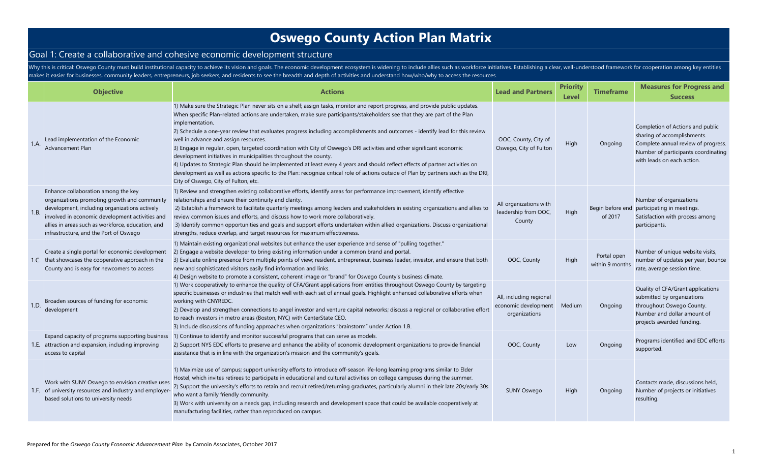#### Goal 1: Create a collaborative and cohesive economic development structure

Why this is critical: Oswego County must build institutional capacity to achieve its vision and goals. The economic development ecosystem is widening to include allies such as workforce initiatives. Establishing a clear, w makes it easier for businesses, community leaders, entrepreneurs, job seekers, and residents to see the breadth and depth of activities and understand how/who/why to access the resources.

|      | <b>Objective</b>                                                                                                                                                                                                                                                                       | <b>Actions</b>                                                                                                                                                                                                                                                                                                                                                                                                                                                                                                                                                                                                                                                                                                                                                                                                                                                                                                                                                       | <b>Lead and Partners</b>                                         | <b>Priority</b><br>Level | Timeframe                      | <b>Measures for Progress and</b><br><b>Success</b>                                                                                                                          |
|------|----------------------------------------------------------------------------------------------------------------------------------------------------------------------------------------------------------------------------------------------------------------------------------------|----------------------------------------------------------------------------------------------------------------------------------------------------------------------------------------------------------------------------------------------------------------------------------------------------------------------------------------------------------------------------------------------------------------------------------------------------------------------------------------------------------------------------------------------------------------------------------------------------------------------------------------------------------------------------------------------------------------------------------------------------------------------------------------------------------------------------------------------------------------------------------------------------------------------------------------------------------------------|------------------------------------------------------------------|--------------------------|--------------------------------|-----------------------------------------------------------------------------------------------------------------------------------------------------------------------------|
| 1.A. | Lead implementation of the Economic<br>Advancement Plan                                                                                                                                                                                                                                | 1) Make sure the Strategic Plan never sits on a shelf; assign tasks, monitor and report progress, and provide public updates.<br>When specific Plan-related actions are undertaken, make sure participants/stakeholders see that they are part of the Plan<br>implementation.<br>2) Schedule a one-year review that evaluates progress including accomplishments and outcomes - identify lead for this review<br>well in advance and assign resources.<br>3) Engage in regular, open, targeted coordination with City of Oswego's DRI activities and other significant economic<br>development initiatives in municipalities throughout the county.<br>4) Updates to Strategic Plan should be implemented at least every 4 years and should reflect effects of partner activities on<br>development as well as actions specific to the Plan: recognize critical role of actions outside of Plan by partners such as the DRI,<br>City of Oswego, City of Fulton, etc. | OOC, County, City of<br>Oswego, City of Fulton                   | High                     | Ongoing                        | Completion of Actions and public<br>sharing of accomplishments.<br>Complete annual review of progress.<br>Number of participants coordinating<br>with leads on each action. |
| 1.B. | Enhance collaboration among the key<br>organizations promoting growth and community<br>development, including organizations actively<br>involved in economic development activities and<br>allies in areas such as workforce, education, and<br>infrastructure, and the Port of Oswego | 1) Review and strengthen existing collaborative efforts, identify areas for performance improvement, identify effective<br>relationships and ensure their continuity and clarity.<br>2) Establish a framework to facilitate quarterly meetings among leaders and stakeholders in existing organizations and allies to<br>review common issues and efforts, and discuss how to work more collaboratively.<br>3) Identify common opportunities and goals and support efforts undertaken within allied organizations. Discuss organizational<br>strengths, reduce overlap, and target resources for maximum effectiveness.                                                                                                                                                                                                                                                                                                                                              | All organizations with<br>leadership from OOC,<br>County         | High                     | of 2017                        | Number of organizations<br>Begin before end participating in meetings.<br>Satisfaction with process among<br>participants.                                                  |
|      | Create a single portal for economic development<br>1.C. that showcases the cooperative approach in the<br>County and is easy for newcomers to access                                                                                                                                   | 1) Maintain existing organizational websites but enhance the user experience and sense of "pulling together."<br>2) Engage a website developer to bring existing information under a common brand and portal.<br>3) Evaluate online presence from multiple points of view; resident, entrepreneur, business leader, investor, and ensure that both<br>new and sophisticated visitors easily find information and links.<br>4) Design website to promote a consistent, coherent image or "brand" for Oswego County's business climate.                                                                                                                                                                                                                                                                                                                                                                                                                                | OOC, County                                                      | High                     | Portal open<br>within 9 months | Number of unique website visits,<br>number of updates per year, bounce<br>rate, average session time.                                                                       |
| 1.D. | Broaden sources of funding for economic<br>development                                                                                                                                                                                                                                 | 1) Work cooperatively to enhance the quality of CFA/Grant applications from entities throughout Oswego County by targeting<br>specific businesses or industries that match well with each set of annual goals. Highlight enhanced collaborative efforts when<br>working with CNYREDC.<br>2) Develop and strengthen connections to angel investor and venture capital networks; discuss a regional or collaborative effort<br>to reach investors in metro areas (Boston, NYC) with CenterState CEO.<br>3) Include discussions of funding approaches when organizations "brainstorm" under Action 1.B.                                                                                                                                                                                                                                                                                                                                                                 | All, including regional<br>economic development<br>organizations | Medium                   | Ongoing                        | Quality of CFA/Grant applications<br>submitted by organizations<br>throughout Oswego County.<br>Number and dollar amount of<br>projects awarded funding.                    |
|      | Expand capacity of programs supporting business<br>1.E. attraction and expansion, including improving<br>access to capital                                                                                                                                                             | 1) Continue to identify and monitor successful programs that can serve as models.<br>2) Support NYS EDC efforts to preserve and enhance the ability of economic development organizations to provide financial<br>assistance that is in line with the organization's mission and the community's goals.                                                                                                                                                                                                                                                                                                                                                                                                                                                                                                                                                                                                                                                              | OOC, County                                                      | Low                      | Ongoing                        | Programs identified and EDC efforts<br>supported.                                                                                                                           |
|      | Work with SUNY Oswego to envision creative uses<br>1.F. of university resources and industry and employer<br>based solutions to university needs                                                                                                                                       | 1) Maximize use of campus; support university efforts to introduce off-season life-long learning programs similar to Elder<br>Hostel, which invites retirees to participate in educational and cultural activities on college campuses during the summer.<br>2) Support the university's efforts to retain and recruit retired/returning graduates, particularly alumni in their late 20s/early 30s<br>who want a family friendly community.<br>3) Work with university on a needs gap, including research and development space that could be available cooperatively at<br>manufacturing facilities, rather than reproduced on campus.                                                                                                                                                                                                                                                                                                                             | <b>SUNY Oswego</b>                                               | High                     | Ongoing                        | Contacts made, discussions held,<br>Number of projects or initiatives<br>resulting.                                                                                         |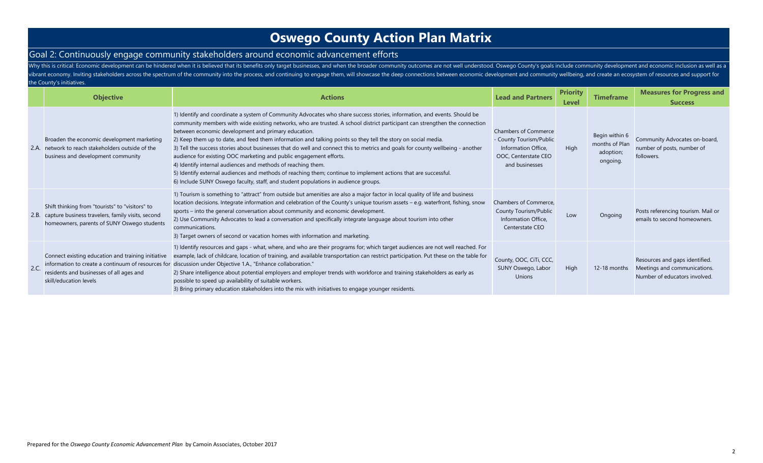#### Goal 2: Continuously engage community stakeholders around economic advancement efforts

Why this is critical: Economic development can be hindered when it is believed that its benefits only target businesses, and when the broader community outcomes are not well understood. Oswego County's goals include commun vibrant economy. Inviting stakeholders across the spectrum of the community into the process, and continuing to engage them, will showcase the deep connections between economic development and community wellbeing, and crea the County's initiatives.

|     | <b>Objective</b>                                                                                                                                         | <b>Actions</b>                                                                                                                                                                                                                                                                                                                                                                                                                                                                                                                                                                                                                                                                                                                                                                                                                                                                                                   | <b>Lead and Partners</b>                                                                                                | <b>Priority</b><br><b>Level</b> | <b>Timeframe</b>                                          | <b>Measures for Progress and</b><br><b>Success</b>                                              |
|-----|----------------------------------------------------------------------------------------------------------------------------------------------------------|------------------------------------------------------------------------------------------------------------------------------------------------------------------------------------------------------------------------------------------------------------------------------------------------------------------------------------------------------------------------------------------------------------------------------------------------------------------------------------------------------------------------------------------------------------------------------------------------------------------------------------------------------------------------------------------------------------------------------------------------------------------------------------------------------------------------------------------------------------------------------------------------------------------|-------------------------------------------------------------------------------------------------------------------------|---------------------------------|-----------------------------------------------------------|-------------------------------------------------------------------------------------------------|
|     | Broaden the economic development marketing<br>2.A. network to reach stakeholders outside of the<br>business and development community                    | 1) Identify and coordinate a system of Community Advocates who share success stories, information, and events. Should be<br>community members with wide existing networks, who are trusted. A school district participant can strengthen the connection<br>between economic development and primary education.<br>2) Keep them up to date, and feed them information and talking points so they tell the story on social media.<br>3) Tell the success stories about businesses that do well and connect this to metrics and goals for county wellbeing - another<br>audience for existing OOC marketing and public engagement efforts.<br>4) Identify internal audiences and methods of reaching them.<br>5) Identify external audiences and methods of reaching them; continue to implement actions that are successful.<br>6) Include SUNY Oswego faculty, staff, and student populations in audience groups. | <b>Chambers of Commerce</b><br>- County Tourism/Public<br>Information Office.<br>OOC, Centerstate CEO<br>and businesses | High                            | Begin within 6<br>months of Plan<br>adoption;<br>ongoing. | Community Advocates on-board,<br>number of posts, number of<br>followers.                       |
|     | Shift thinking from "tourists" to "visitors" to<br>2.B. capture business travelers, family visits, second<br>homeowners, parents of SUNY Oswego students | 1) Tourism is something to "attract" from outside but amenities are also a major factor in local quality of life and business<br>location decisions. Integrate information and celebration of the County's unique tourism assets – e.g. waterfront, fishing, snow<br>sports – into the general conversation about community and economic development.<br>2) Use Community Advocates to lead a conversation and specifically integrate language about tourism into other<br>communications.<br>3) Target owners of second or vacation homes with information and marketing.                                                                                                                                                                                                                                                                                                                                       | Chambers of Commerce.<br>County Tourism/Public<br>Information Office.<br>Centerstate CEO                                | Low                             | Ongoing                                                   | Posts referencing tourism. Mail or<br>emails to second homeowners.                              |
| 2.C | Connect existing education and training initiative<br>residents and businesses of all ages and<br>skill/education levels                                 | 1) Identify resources and gaps - what, where, and who are their programs for; which target audiences are not well reached. For<br>example, lack of childcare, location of training, and available transportation can restrict participation. Put these on the table for<br>information to create a continuum of resources for discussion under Objective 1.A., "Enhance collaboration."<br>2) Share intelligence about potential employers and employer trends with workforce and training stakeholders as early as<br>possible to speed up availability of suitable workers.<br>3) Bring primary education stakeholders into the mix with initiatives to engage younger residents.                                                                                                                                                                                                                              | County, OOC, CiTi, CCC,<br>SUNY Oswego, Labor<br><b>Unions</b>                                                          | High                            | 12-18 months                                              | Resources and gaps identified.<br>Meetings and communications.<br>Number of educators involved. |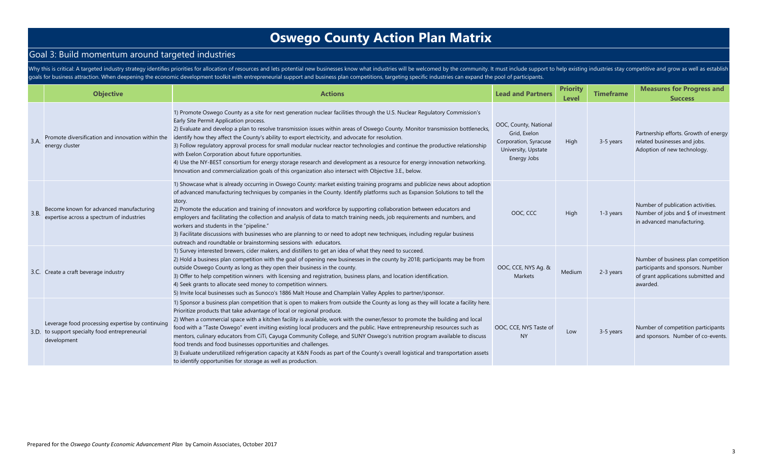### Goal 3: Build momentum around targeted industries

Why this is critical: A targeted industry strategy identifies priorities for allocation of resources and lets potential new businesses know what industries will be welcomed by the community. It must include support to help goals for business attraction. When deepening the economic development toolkit with entrepreneurial support and business plan competitions, targeting specific industries can expand the pool of participants.

|      | <b>Objective</b>                                                                                                  | <b>Actions</b>                                                                                                                                                                                                                                                                                                                                                                                                                                                                                                                                                                                                                                                                                                                                                                                                                                                                 | <b>Lead and Partners</b>                                                                             | <b>Priority</b><br>Level | <b>Timeframe</b> | <b>Measures for Progress and</b><br><b>Success</b>                                                                          |
|------|-------------------------------------------------------------------------------------------------------------------|--------------------------------------------------------------------------------------------------------------------------------------------------------------------------------------------------------------------------------------------------------------------------------------------------------------------------------------------------------------------------------------------------------------------------------------------------------------------------------------------------------------------------------------------------------------------------------------------------------------------------------------------------------------------------------------------------------------------------------------------------------------------------------------------------------------------------------------------------------------------------------|------------------------------------------------------------------------------------------------------|--------------------------|------------------|-----------------------------------------------------------------------------------------------------------------------------|
| 3.A  | Promote diversification and innovation within the<br>energy cluster                                               | 1) Promote Oswego County as a site for next generation nuclear facilities through the U.S. Nuclear Regulatory Commission's<br>Early Site Permit Application process.<br>2) Evaluate and develop a plan to resolve transmission issues within areas of Oswego County. Monitor transmission bottlenecks,<br>identify how they affect the County's ability to export electricity, and advocate for resolution.<br>3) Follow regulatory approval process for small modular nuclear reactor technologies and continue the productive relationship<br>with Exelon Corporation about future opportunities.<br>4) Use the NY-BEST consortium for energy storage research and development as a resource for energy innovation networking.<br>Innovation and commercialization goals of this organization also intersect with Objective 3.E., below.                                     | OOC, County, National<br>Grid, Exelon<br>Corporation, Syracuse<br>University, Upstate<br>Energy Jobs | High                     | 3-5 years        | Partnership efforts. Growth of energy<br>related businesses and jobs.<br>Adoption of new technology.                        |
| 3.B. | Become known for advanced manufacturing<br>expertise across a spectrum of industries                              | 1) Showcase what is already occurring in Oswego County: market existing training programs and publicize news about adoption<br>of advanced manufacturing techniques by companies in the County. Identify platforms such as Expansion Solutions to tell the<br>story.<br>2) Promote the education and training of innovators and workforce by supporting collaboration between educators and<br>employers and facilitating the collection and analysis of data to match training needs, job requirements and numbers, and<br>workers and students in the "pipeline."<br>3) Facilitate discussions with businesses who are planning to or need to adopt new techniques, including regular business<br>outreach and roundtable or brainstorming sessions with educators.                                                                                                          | OOC, CCC                                                                                             | High                     | 1-3 years        | Number of publication activities.<br>Number of jobs and \$ of investment<br>in advanced manufacturing.                      |
|      | 3.C. Create a craft beverage industry                                                                             | 1) Survey interested brewers, cider makers, and distillers to get an idea of what they need to succeed.<br>2) Hold a business plan competition with the goal of opening new businesses in the county by 2018; participants may be from<br>outside Oswego County as long as they open their business in the county.<br>3) Offer to help competition winners with licensing and registration, business plans, and location identification.<br>4) Seek grants to allocate seed money to competition winners.<br>5) Invite local businesses such as Sunoco's 1886 Malt House and Champlain Valley Apples to partner/sponsor.                                                                                                                                                                                                                                                       | OOC, CCE, NYS Ag. &<br>Markets                                                                       | Medium                   | 2-3 years        | Number of business plan competition<br>participants and sponsors. Number<br>of grant applications submitted and<br>awarded. |
|      | Leverage food processing expertise by continuing<br>3.D. to support specialty food entrepreneurial<br>development | 1) Sponsor a business plan competition that is open to makers from outside the County as long as they will locate a facility here.<br>Prioritize products that take advantage of local or regional produce.<br>2) When a commercial space with a kitchen facility is available, work with the owner/lessor to promote the building and local<br>food with a "Taste Oswego" event inviting existing local producers and the public. Have entrepreneurship resources such as<br>mentors, culinary educators from CiTi, Cayuga Community College, and SUNY Oswego's nutrition program available to discuss<br>food trends and food businesses opportunities and challenges.<br>3) Evaluate underutilized refrigeration capacity at K&N Foods as part of the County's overall logistical and transportation assets<br>to identify opportunities for storage as well as production. | OOC, CCE, NYS Taste of<br><b>NY</b>                                                                  | Low                      | 3-5 years        | Number of competition participants<br>and sponsors. Number of co-events.                                                    |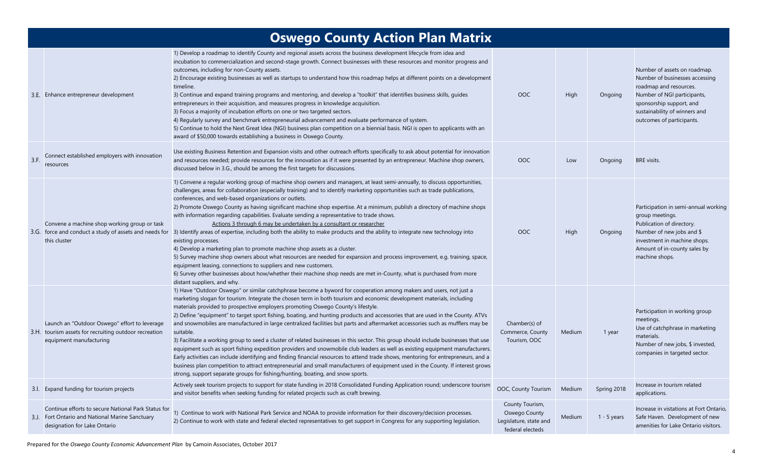|      |                                                                                                                                        | <b>Oswego County Action Plan Matrix</b>                                                                                                                                                                                                                                                                                                                                                                                                                                                                                                                                                                                                                                                                                                                                                                                                                                                                                                                                                                                                                                                                                                                                                                                                                               |                                                                                |        |               |                                                                                                                                                                                                                   |
|------|----------------------------------------------------------------------------------------------------------------------------------------|-----------------------------------------------------------------------------------------------------------------------------------------------------------------------------------------------------------------------------------------------------------------------------------------------------------------------------------------------------------------------------------------------------------------------------------------------------------------------------------------------------------------------------------------------------------------------------------------------------------------------------------------------------------------------------------------------------------------------------------------------------------------------------------------------------------------------------------------------------------------------------------------------------------------------------------------------------------------------------------------------------------------------------------------------------------------------------------------------------------------------------------------------------------------------------------------------------------------------------------------------------------------------|--------------------------------------------------------------------------------|--------|---------------|-------------------------------------------------------------------------------------------------------------------------------------------------------------------------------------------------------------------|
|      | 3.E. Enhance entrepreneur development                                                                                                  | 1) Develop a roadmap to identify County and regional assets across the business development lifecycle from idea and<br>incubation to commercialization and second-stage growth. Connect businesses with these resources and monitor progress and<br>outcomes, including for non-County assets.<br>2) Encourage existing businesses as well as startups to understand how this roadmap helps at different points on a development<br>timeline.<br>3) Continue and expand training programs and mentoring, and develop a "toolkit" that identifies business skills, quides<br>entrepreneurs in their acquisition, and measures progress in knowledge acquisition.<br>3) Focus a majority of incubation efforts on one or two targeted sectors.<br>4) Regularly survey and benchmark entrepreneurial advancement and evaluate performance of system.<br>5) Continue to hold the Next Great Idea (NGI) business plan competition on a biennial basis. NGI is open to applicants with an<br>award of \$50,000 towards establishing a business in Oswego County.                                                                                                                                                                                                            | OOC                                                                            | High   | Ongoing       | Number of assets on roadmap.<br>Number of businesses accessing<br>roadmap and resources.<br>Number of NGI participants,<br>sponsorship support, and<br>sustainability of winners and<br>outcomes of participants. |
| 3.F. | Connect established employers with innovation<br>resources                                                                             | Use existing Business Retention and Expansion visits and other outreach efforts specifically to ask about potential for innovation<br>and resources needed; provide resources for the innovation as if it were presented by an entrepreneur. Machine shop owners,<br>discussed below in 3.G., should be among the first targets for discussions.                                                                                                                                                                                                                                                                                                                                                                                                                                                                                                                                                                                                                                                                                                                                                                                                                                                                                                                      | OOC                                                                            | Low    | Ongoing       | <b>BRE</b> visits.                                                                                                                                                                                                |
|      | Convene a machine shop working group or task<br>this cluster                                                                           | 1) Convene a regular working group of machine shop owners and managers, at least semi-annually, to discuss opportunities,<br>challenges, areas for collaboration (especially training) and to identify marketing opportunities such as trade publications,<br>conferences, and web-based organizations or outlets.<br>2) Promote Oswego County as having significant machine shop expertise. At a minimum, publish a directory of machine shops<br>with information regarding capabilities. Evaluate sending a representative to trade shows.<br>Actions 3 through 6 may be undertaken by a consultant or researcher<br>3.G. force and conduct a study of assets and needs for 3) Identify areas of expertise, including both the ability to make products and the ability to integrate new technology into<br>existing processes.<br>4) Develop a marketing plan to promote machine shop assets as a cluster.<br>5) Survey machine shop owners about what resources are needed for expansion and process improvement, e.g. training, space,<br>equipment leasing, connections to suppliers and new customers.<br>6) Survey other businesses about how/whether their machine shop needs are met in-County, what is purchased from more<br>distant suppliers, and why. | OOC                                                                            | High   | Ongoing       | Participation in semi-annual working<br>group meetings.<br>Publication of directory.<br>Number of new jobs and \$<br>investment in machine shops.<br>Amount of in-county sales by<br>machine shops.               |
|      | Launch an "Outdoor Oswego" effort to leverage<br>3.H. tourism assets for recruiting outdoor recreation<br>equipment manufacturing      | 1) Have "Outdoor Oswego" or similar catchphrase become a byword for cooperation among makers and users, not just a<br>marketing slogan for tourism. Integrate the chosen term in both tourism and economic development materials, including<br>materials provided to prospective employers promoting Oswego County's lifestyle.<br>2) Define "equipment" to target sport fishing, boating, and hunting products and accessories that are used in the County. ATVs<br>and snowmobiles are manufactured in large centralized facilities but parts and aftermarket accessories such as mufflers may be<br>suitable.<br>3) Facilitate a working group to seed a cluster of related businesses in this sector. This group should include businesses that use<br>equipment such as sport fishing expedition providers and snowmobile club leaders as well as existing equipment manufacturers.<br>Early activities can include identifying and finding financial resources to attend trade shows, mentoring for entrepreneurs, and a<br>business plan competition to attract entrepreneurial and small manufacturers of equipment used in the County. If interest grows<br>strong, support separate groups for fishing/hunting, boating, and snow sports.                   | Chamber(s) of<br>Commerce, County<br>Tourism, OOC                              | Medium | 1 year        | Participation in working group<br>meetings.<br>Use of catchphrase in marketing<br>materials.<br>Number of new jobs, \$ invested,<br>companies in targeted sector.                                                 |
|      | 3.I. Expand funding for tourism projects                                                                                               | Actively seek tourism projects to support for state funding in 2018 Consolidated Funding Application round; underscore tourism<br>and visitor benefits when seeking funding for related projects such as craft brewing.                                                                                                                                                                                                                                                                                                                                                                                                                                                                                                                                                                                                                                                                                                                                                                                                                                                                                                                                                                                                                                               | OOC, County Tourism                                                            | Medium | Spring 2018   | Increase in tourism related<br>applications.                                                                                                                                                                      |
|      | Continue efforts to secure National Park Status for<br>3.J. Fort Ontario and National Marine Sanctuary<br>designation for Lake Ontario | 1) Continue to work with National Park Service and NOAA to provide information for their discovery/decision processes.<br>2) Continue to work with state and federal elected representatives to get support in Congress for any supporting legislation.                                                                                                                                                                                                                                                                                                                                                                                                                                                                                                                                                                                                                                                                                                                                                                                                                                                                                                                                                                                                               | County Tourism,<br>Oswego County<br>Legislature, state and<br>federal electeds | Medium | $1 - 5$ years | Increase in vistations at Fort Ontario,<br>Safe Haven. Development of new<br>amenities for Lake Ontario visitors.                                                                                                 |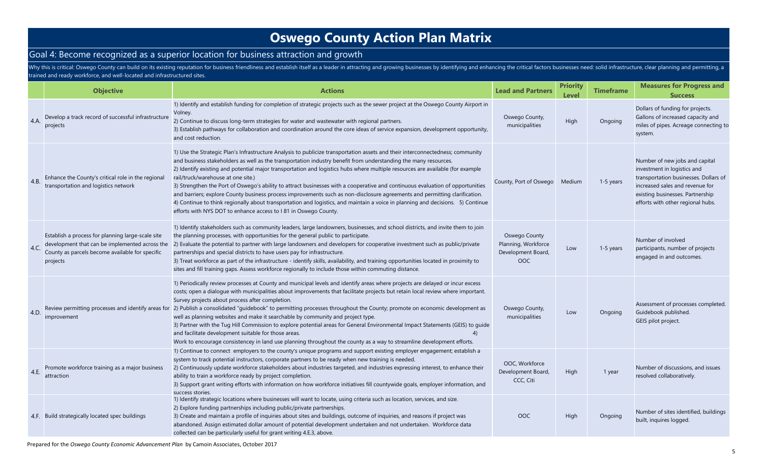### Goal 4: Become recognized as a superior location for business attraction and growth

Why this is critical: Oswego County can build on its existing reputation for business friendliness and establish itself as a leader in attracting and growing businesses by identifying and enhancing the critical factors bus trained and ready workforce, and well-located and infrastructured sites.

|      | <b>Objective</b>                                                                                                                                                   | <b>Actions</b>                                                                                                                                                                                                                                                                                                                                                                                                                                                                                                                                                                                                                                                                                                                                                                                                                                                                                          | <b>Lead and Partners</b>                                          | <b>Priority</b><br>Level | <b>Timeframe</b> | <b>Measures for Progress and</b><br><b>Success</b>                                                                                                                                                                 |
|------|--------------------------------------------------------------------------------------------------------------------------------------------------------------------|---------------------------------------------------------------------------------------------------------------------------------------------------------------------------------------------------------------------------------------------------------------------------------------------------------------------------------------------------------------------------------------------------------------------------------------------------------------------------------------------------------------------------------------------------------------------------------------------------------------------------------------------------------------------------------------------------------------------------------------------------------------------------------------------------------------------------------------------------------------------------------------------------------|-------------------------------------------------------------------|--------------------------|------------------|--------------------------------------------------------------------------------------------------------------------------------------------------------------------------------------------------------------------|
| 4.A. | Develop a track record of successful infrastructure<br>projects                                                                                                    | 1) Identify and establish funding for completion of strategic projects such as the sewer project at the Oswego County Airport in<br>Volney.<br>2) Continue to discuss long-term strategies for water and wastewater with regional partners.<br>3) Establish pathways for collaboration and coordination around the core ideas of service expansion, development opportunity,<br>and cost reduction.                                                                                                                                                                                                                                                                                                                                                                                                                                                                                                     | Oswego County,<br>municipalities                                  | High                     | Ongoing          | Dollars of funding for projects.<br>Gallons of increased capacity and<br>miles of pipes. Acreage connecting to<br>system.                                                                                          |
| 4.B. | Enhance the County's critical role in the regional<br>transportation and logistics network                                                                         | 1) Use the Strategic Plan's Infrastructure Analysis to publicize transportation assets and their interconnectedness; community<br>and business stakeholders as well as the transportation industry benefit from understanding the many resources.<br>2) Identify existing and potential major transportation and logistics hubs where multiple resources are available (for example<br>rail/truck/warehouse at one site.)<br>3) Strengthen the Port of Oswego's ability to attract businesses with a cooperative and continuous evaluation of opportunities<br>and barriers; explore County business process improvements such as non-disclosure agreements and permitting clarification.<br>4) Continue to think regionally about transportation and logistics, and maintain a voice in planning and decisions. 5) Continue<br>efforts with NYS DOT to enhance access to I 81 in Oswego County.        | County, Port of Oswego                                            | Medium                   | 1-5 years        | Number of new jobs and capital<br>investment in logistics and<br>transportation businesses. Dollars of<br>increased sales and revenue for<br>existing businesses. Partnership<br>efforts with other regional hubs. |
| 4.C. | Establish a process for planning large-scale site<br>development that can be implemented across the<br>County as parcels become available for specific<br>projects | 1) Identify stakeholders such as community leaders, large landowners, businesses, and school districts, and invite them to join<br>the planning processes, with opportunities for the general public to participate.<br>2) Evaluate the potential to partner with large landowners and developers for cooperative investment such as public/private<br>partnerships and special districts to have users pay for infrastructure.<br>3) Treat workforce as part of the infrastructure - identify skills, availability, and training opportunities located in proximity to<br>sites and fill training gaps. Assess workforce regionally to include those within commuting distance.                                                                                                                                                                                                                        | Oswego County<br>Planning, Workforce<br>Development Board,<br>OOC | Low                      | 1-5 years        | Number of involved<br>participants, number of projects<br>engaged in and outcomes.                                                                                                                                 |
| 4.D  | improvement                                                                                                                                                        | 1) Periodically review processes at County and municipal levels and identify areas where projects are delayed or incur excess<br>costs; open a dialogue with municipalities about improvements that facilitate projects but retain local review where important.<br>Survey projects about process after completion.<br>Review permitting processes and identify areas for 2) Publish a consolidated "guidebook" to permitting processes throughout the County; promote on economic development as<br>well as planning websites and make it searchable by community and project type.<br>3) Partner with the Tug Hill Commission to explore potential areas for General Environmental Impact Statements (GEIS) to guide<br>and facilitate development suitable for those areas.<br>Work to encourage consistencey in land use planning throughout the county as a way to streamline development efforts. | Oswego County,<br>municipalities                                  | Low                      | Ongoing          | Assessment of processes completed.<br>Guidebook published.<br>GEIS pilot project.                                                                                                                                  |
| 4.E. | Promote workforce training as a major business<br>attraction                                                                                                       | 1) Continue to connect employers to the county's unique programs and support existing employer engagement; establish a<br>system to track potential instructors, corporate partners to be ready when new training is needed.<br>2) Continuously update workforce stakeholders about industries targeted, and industries expressing interest, to enhance their<br>ability to train a workforce ready by project completion.<br>3) Support grant writing efforts with information on how workforce initiatives fill countywide goals, employer information, and<br>success stories                                                                                                                                                                                                                                                                                                                        | OOC, Workforce<br>Development Board,<br>CCC, Citi                 | High                     | 1 year           | Number of discussions, and issues<br>resolved collaboratively.                                                                                                                                                     |
|      | 4.F. Build strategically located spec buildings                                                                                                                    | 1) Identify strategic locations where businesses will want to locate, using criteria such as location, services, and size.<br>2) Explore funding partnerships including public/private partnerships.<br>3) Create and maintain a profile of inquiries about sites and buildings, outcome of inquiries, and reasons if project was<br>abandoned. Assign estimated dollar amount of potential development undertaken and not undertaken. Workforce data<br>collected can be particularly useful for grant writing 4.E.3, above.                                                                                                                                                                                                                                                                                                                                                                           | OOC                                                               | High                     | Ongoing          | Number of sites identified, buildings<br>built, inquires logged.                                                                                                                                                   |